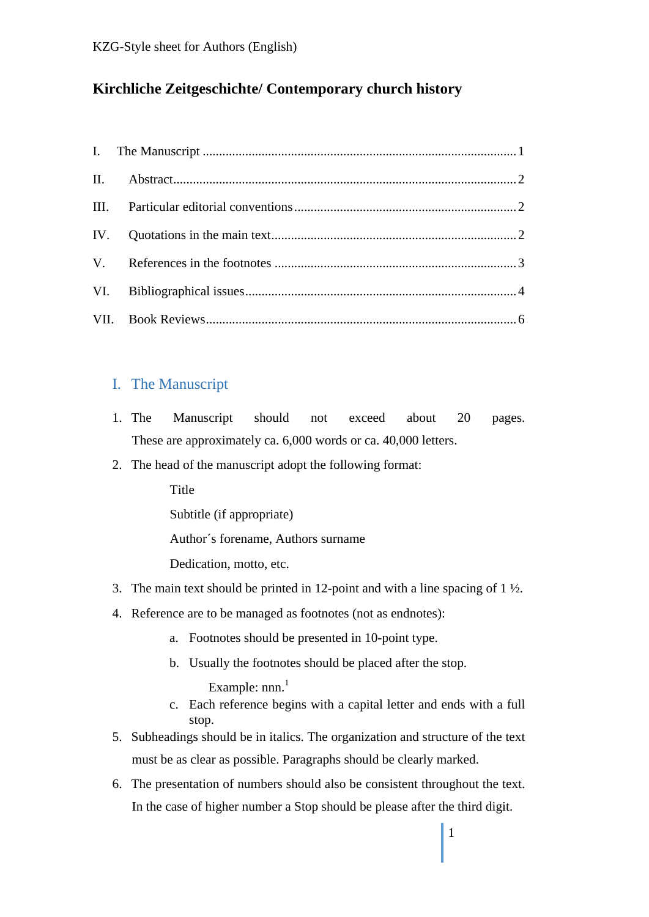# **Kirchliche Zeitgeschichte/ Contemporary church history**

## I. The Manuscript

- 1. The Manuscript should not exceed about 20 pages. These are approximately ca. 6,000 words or ca. 40,000 letters.
- 2. The head of the manuscript adopt the following format:

Title

Subtitle (if appropriate)

Author´s forename, Authors surname

Dedication, motto, etc.

- 3. The main text should be printed in 12-point and with a line spacing of  $1\frac{1}{2}$ .
- 4. Reference are to be managed as footnotes (not as endnotes):
	- a. Footnotes should be presented in 10-point type.
	- b. Usually the footnotes should be placed after the stop.

Example:  $nnn<sup>1</sup>$ 

- c. Each reference begins with a capital letter and ends with a full stop.
- 5. Subheadings should be in italics. The organization and structure of the text must be as clear as possible. Paragraphs should be clearly marked.
- 6. The presentation of numbers should also be consistent throughout the text. In the case of higher number a Stop should be please after the third digit.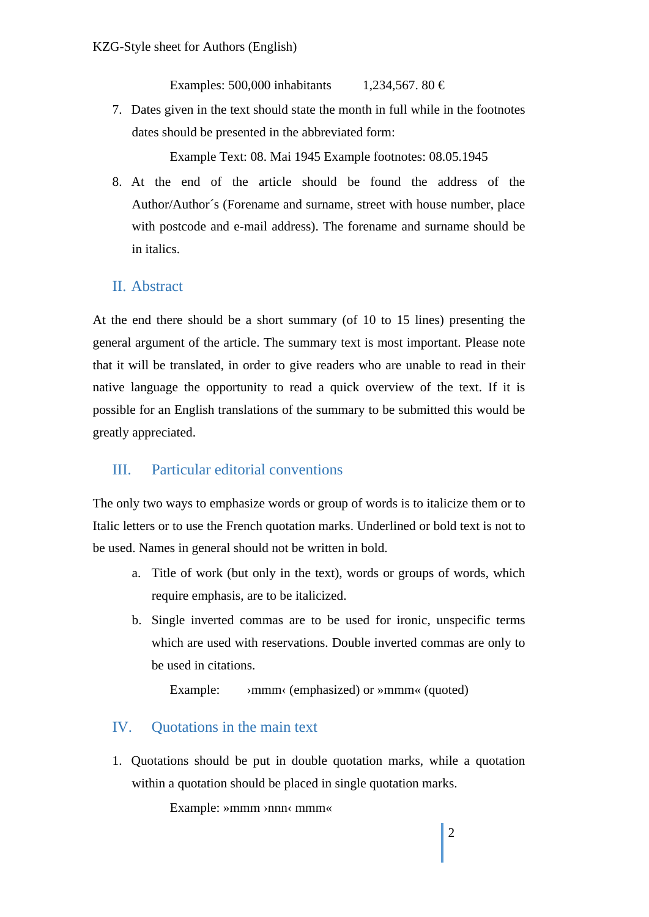Examples: 500,000 inhabitants  $1,234,567.80 \in$ 

7. Dates given in the text should state the month in full while in the footnotes dates should be presented in the abbreviated form:

Example Text: 08. Mai 1945 Example footnotes: 08.05.1945

8. At the end of the article should be found the address of the Author/Author´s (Forename and surname, street with house number, place with postcode and e-mail address). The forename and surname should be in italics.

### II. Abstract

At the end there should be a short summary (of 10 to 15 lines) presenting the general argument of the article. The summary text is most important. Please note that it will be translated, in order to give readers who are unable to read in their native language the opportunity to read a quick overview of the text. If it is possible for an English translations of the summary to be submitted this would be greatly appreciated.

### III. Particular editorial conventions

The only two ways to emphasize words or group of words is to italicize them or to Italic letters or to use the French quotation marks. Underlined or bold text is not to be used. Names in general should not be written in bold.

- a. Title of work (but only in the text), words or groups of words, which require emphasis, are to be italicized.
- b. Single inverted commas are to be used for ironic, unspecific terms which are used with reservations. Double inverted commas are only to be used in citations.

Example:  $\longrightarrow$ mmm (emphasized) or  $\gg$ mmm (quoted)

### IV. Quotations in the main text

1. Quotations should be put in double quotation marks, while a quotation within a quotation should be placed in single quotation marks.

Example: »mmm ›nnn‹ mmm«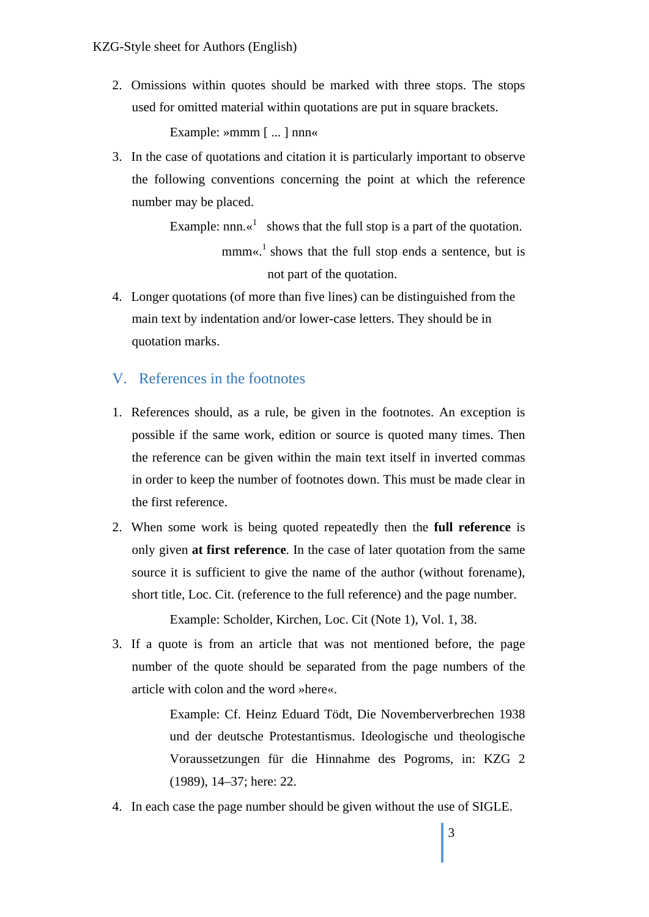2. Omissions within quotes should be marked with three stops. The stops used for omitted material within quotations are put in square brackets.

Example: »mmm [ ... ] nnn«

3. In the case of quotations and citation it is particularly important to observe the following conventions concerning the point at which the reference number may be placed.

Example:  $nnn.$ <sup>d</sup> shows that the full stop is a part of the quotation. mmm«.<sup>1</sup> shows that the full stop ends a sentence, but is not part of the quotation.

4. Longer quotations (of more than five lines) can be distinguished from the main text by indentation and/or lower-case letters. They should be in quotation marks.

#### V. References in the footnotes

- 1. References should, as a rule, be given in the footnotes. An exception is possible if the same work, edition or source is quoted many times. Then the reference can be given within the main text itself in inverted commas in order to keep the number of footnotes down. This must be made clear in the first reference.
- 2. When some work is being quoted repeatedly then the **full reference** is only given **at first reference**. In the case of later quotation from the same source it is sufficient to give the name of the author (without forename), short title, Loc. Cit. (reference to the full reference) and the page number.

Example: Scholder, Kirchen, Loc. Cit (Note 1), Vol. 1, 38.

3. If a quote is from an article that was not mentioned before, the page number of the quote should be separated from the page numbers of the article with colon and the word »here«.

> Example: Cf. Heinz Eduard Tödt, Die Novemberverbrechen 1938 und der deutsche Protestantismus. Ideologische und theologische Voraussetzungen für die Hinnahme des Pogroms, in: KZG 2 (1989), 14–37; here: 22.

4. In each case the page number should be given without the use of SIGLE.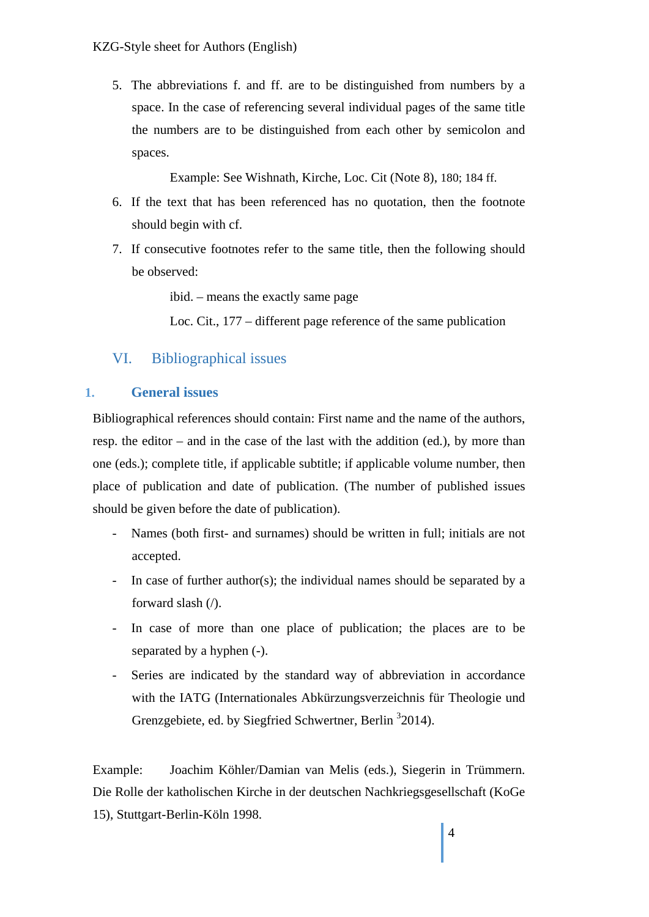5. The abbreviations f. and ff. are to be distinguished from numbers by a space. In the case of referencing several individual pages of the same title the numbers are to be distinguished from each other by semicolon and spaces.

Example: See Wishnath, Kirche, Loc. Cit (Note 8), 180; 184 ff.

- 6. If the text that has been referenced has no quotation, then the footnote should begin with cf.
- 7. If consecutive footnotes refer to the same title, then the following should be observed:

ibid. – means the exactly same page

Loc. Cit., 177 – different page reference of the same publication

# VI. Bibliographical issues

### **1. General issues**

Bibliographical references should contain: First name and the name of the authors, resp. the editor – and in the case of the last with the addition (ed.), by more than one (eds.); complete title, if applicable subtitle; if applicable volume number, then place of publication and date of publication. (The number of published issues should be given before the date of publication).

- Names (both first- and surnames) should be written in full; initials are not accepted.
- In case of further author(s); the individual names should be separated by a forward slash (/).
- In case of more than one place of publication; the places are to be separated by a hyphen (-).
- Series are indicated by the standard way of abbreviation in accordance with the IATG (Internationales Abkürzungsverzeichnis für Theologie und Grenzgebiete, ed. by Siegfried Schwertner, Berlin <sup>3</sup>2014).

Example: Joachim Köhler/Damian van Melis (eds.), Siegerin in Trümmern. Die Rolle der katholischen Kirche in der deutschen Nachkriegsgesellschaft (KoGe 15), Stuttgart-Berlin-Köln 1998.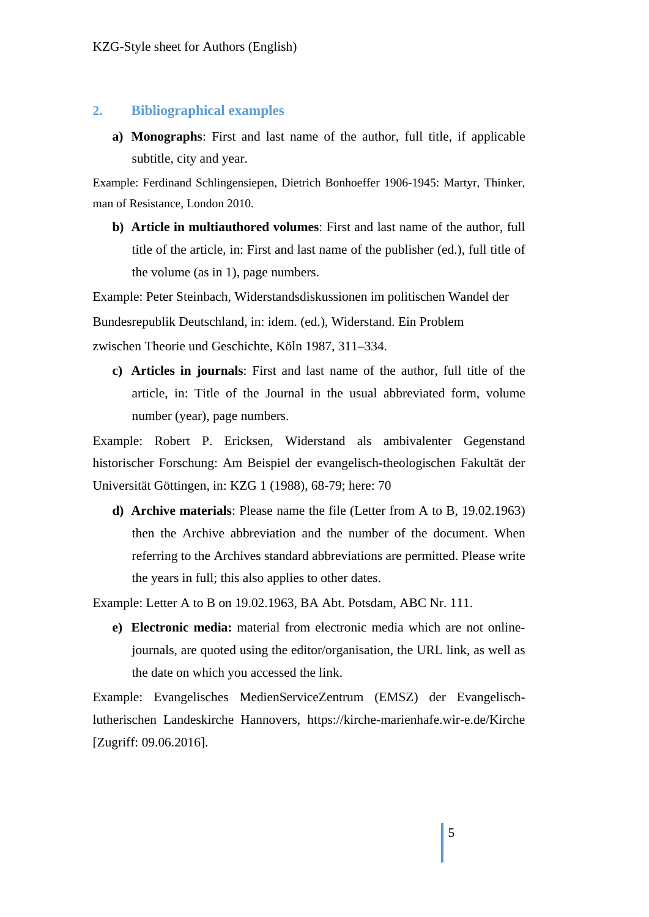#### **2. Bibliographical examples**

**a) Monographs**: First and last name of the author, full title, if applicable subtitle, city and year.

Example: Ferdinand Schlingensiepen, Dietrich Bonhoeffer 1906-1945: Martyr, Thinker, man of Resistance, London 2010.

**b) Article in multiauthored volumes**: First and last name of the author, full title of the article, in: First and last name of the publisher (ed.), full title of the volume (as in 1), page numbers.

Example: Peter Steinbach, Widerstandsdiskussionen im politischen Wandel der Bundesrepublik Deutschland, in: idem. (ed.), Widerstand. Ein Problem zwischen Theorie und Geschichte, Köln 1987, 311–334.

**c) Articles in journals**: First and last name of the author, full title of the article, in: Title of the Journal in the usual abbreviated form, volume number (year), page numbers.

Example: Robert P. Ericksen, Widerstand als ambivalenter Gegenstand historischer Forschung: Am Beispiel der evangelisch-theologischen Fakultät der Universität Göttingen, in: KZG 1 (1988), 68-79; here: 70

**d) Archive materials**: Please name the file (Letter from A to B, 19.02.1963) then the Archive abbreviation and the number of the document. When referring to the Archives standard abbreviations are permitted. Please write the years in full; this also applies to other dates.

Example: Letter A to B on 19.02.1963, BA Abt. Potsdam, ABC Nr. 111.

**e) Electronic media:** material from electronic media which are not onlinejournals, are quoted using the editor/organisation, the URL link, as well as the date on which you accessed the link.

Example: Evangelisches MedienServiceZentrum (EMSZ) der Evangelischlutherischen Landeskirche Hannovers, https://kirche-marienhafe.wir-e.de/Kirche [Zugriff: 09.06.2016].